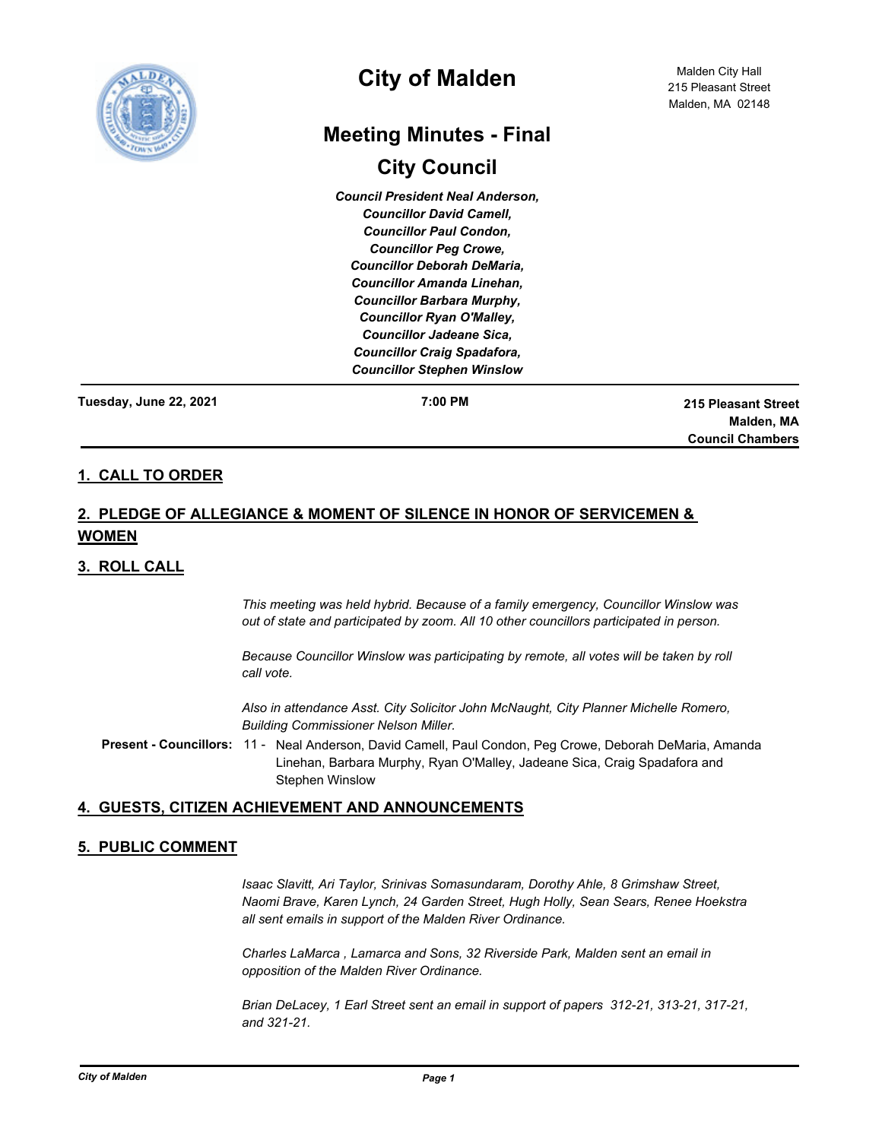

# **City of Malden**

# **Meeting Minutes - Final**

# **City Council**

*Council President Neal Anderson, Councillor David Camell, Councillor Paul Condon, Councillor Peg Crowe, Councillor Deborah DeMaria, Councillor Amanda Linehan, Councillor Barbara Murphy, Councillor Ryan O'Malley, Councillor Jadeane Sica, Councillor Craig Spadafora, Councillor Stephen Winslow*

**Tuesday, June 22, 2021**

**7:00 PM 215 Pleasant Street Malden, MA Council Chambers**

## **1. CALL TO ORDER**

## **2. PLEDGE OF ALLEGIANCE & MOMENT OF SILENCE IN HONOR OF SERVICEMEN & WOMEN**

## **3. ROLL CALL**

*This meeting was held hybrid. Because of a family emergency, Councillor Winslow was out of state and participated by zoom. All 10 other councillors participated in person.*

*Because Councillor Winslow was participating by remote, all votes will be taken by roll call vote.*

*Also in attendance Asst. City Solicitor John McNaught, City Planner Michelle Romero, Building Commissioner Nelson Miller.*

Present - Councillors: 11 - Neal Anderson, David Camell, Paul Condon, Peg Crowe, Deborah DeMaria, Amanda Linehan, Barbara Murphy, Ryan O'Malley, Jadeane Sica, Craig Spadafora and Stephen Winslow

## **4. GUESTS, CITIZEN ACHIEVEMENT AND ANNOUNCEMENTS**

## **5. PUBLIC COMMENT**

*Isaac Slavitt, Ari Taylor, Srinivas Somasundaram, Dorothy Ahle, 8 Grimshaw Street, Naomi Brave, Karen Lynch, 24 Garden Street, Hugh Holly, Sean Sears, Renee Hoekstra all sent emails in support of the Malden River Ordinance.*

*Charles LaMarca , Lamarca and Sons, 32 Riverside Park, Malden sent an email in opposition of the Malden River Ordinance.*

*Brian DeLacey, 1 Earl Street sent an email in support of papers 312-21, 313-21, 317-21, and 321-21.*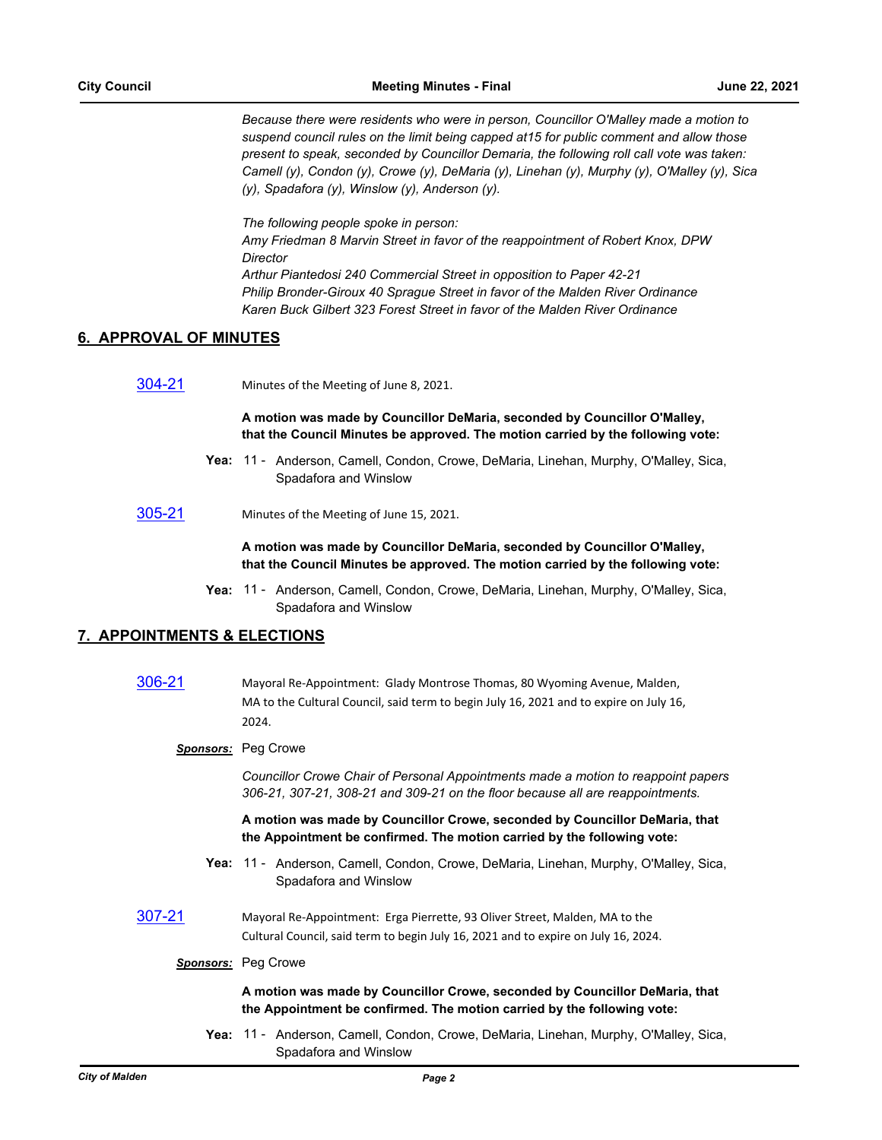*Because there were residents who were in person, Councillor O'Malley made a motion to suspend council rules on the limit being capped at15 for public comment and allow those present to speak, seconded by Councillor Demaria, the following roll call vote was taken: Camell (y), Condon (y), Crowe (y), DeMaria (y), Linehan (y), Murphy (y), O'Malley (y), Sica (y), Spadafora (y), Winslow (y), Anderson (y).*

*The following people spoke in person:*

*Amy Friedman 8 Marvin Street in favor of the reappointment of Robert Knox, DPW Director Arthur Piantedosi 240 Commercial Street in opposition to Paper 42-21*

*Philip Bronder-Giroux 40 Sprague Street in favor of the Malden River Ordinance Karen Buck Gilbert 323 Forest Street in favor of the Malden River Ordinance*

## **6. APPROVAL OF MINUTES**

[304-21](http://cityofmalden.legistar.com/gateway.aspx?m=l&id=/matter.aspx?key=6931) Minutes of the Meeting of June 8, 2021.

**A motion was made by Councillor DeMaria, seconded by Councillor O'Malley, that the Council Minutes be approved. The motion carried by the following vote:**

- Yea: 11 Anderson, Camell, Condon, Crowe, DeMaria, Linehan, Murphy, O'Malley, Sica, Spadafora and Winslow
- [305-21](http://cityofmalden.legistar.com/gateway.aspx?m=l&id=/matter.aspx?key=6932) Minutes of the Meeting of June 15, 2021.

**A motion was made by Councillor DeMaria, seconded by Councillor O'Malley, that the Council Minutes be approved. The motion carried by the following vote:**

Yea: 11 - Anderson, Camell, Condon, Crowe, DeMaria, Linehan, Murphy, O'Malley, Sica, Spadafora and Winslow

## **7. APPOINTMENTS & ELECTIONS**

- [306-21](http://cityofmalden.legistar.com/gateway.aspx?m=l&id=/matter.aspx?key=6921) Mayoral Re-Appointment: Glady Montrose Thomas, 80 Wyoming Avenue, Malden, MA to the Cultural Council, said term to begin July 16, 2021 and to expire on July 16, 2024.
	- *Sponsors:* Peg Crowe

*Councillor Crowe Chair of Personal Appointments made a motion to reappoint papers 306-21, 307-21, 308-21 and 309-21 on the floor because all are reappointments.*

**A motion was made by Councillor Crowe, seconded by Councillor DeMaria, that the Appointment be confirmed. The motion carried by the following vote:**

- Yea: 11 Anderson, Camell, Condon, Crowe, DeMaria, Linehan, Murphy, O'Malley, Sica, Spadafora and Winslow
- [307-21](http://cityofmalden.legistar.com/gateway.aspx?m=l&id=/matter.aspx?key=6922) Mayoral Re-Appointment: Erga Pierrette, 93 Oliver Street, Malden, MA to the Cultural Council, said term to begin July 16, 2021 and to expire on July 16, 2024.

#### *Sponsors:* Peg Crowe

#### **A motion was made by Councillor Crowe, seconded by Councillor DeMaria, that the Appointment be confirmed. The motion carried by the following vote:**

Yea: 11 - Anderson, Camell, Condon, Crowe, DeMaria, Linehan, Murphy, O'Malley, Sica, Spadafora and Winslow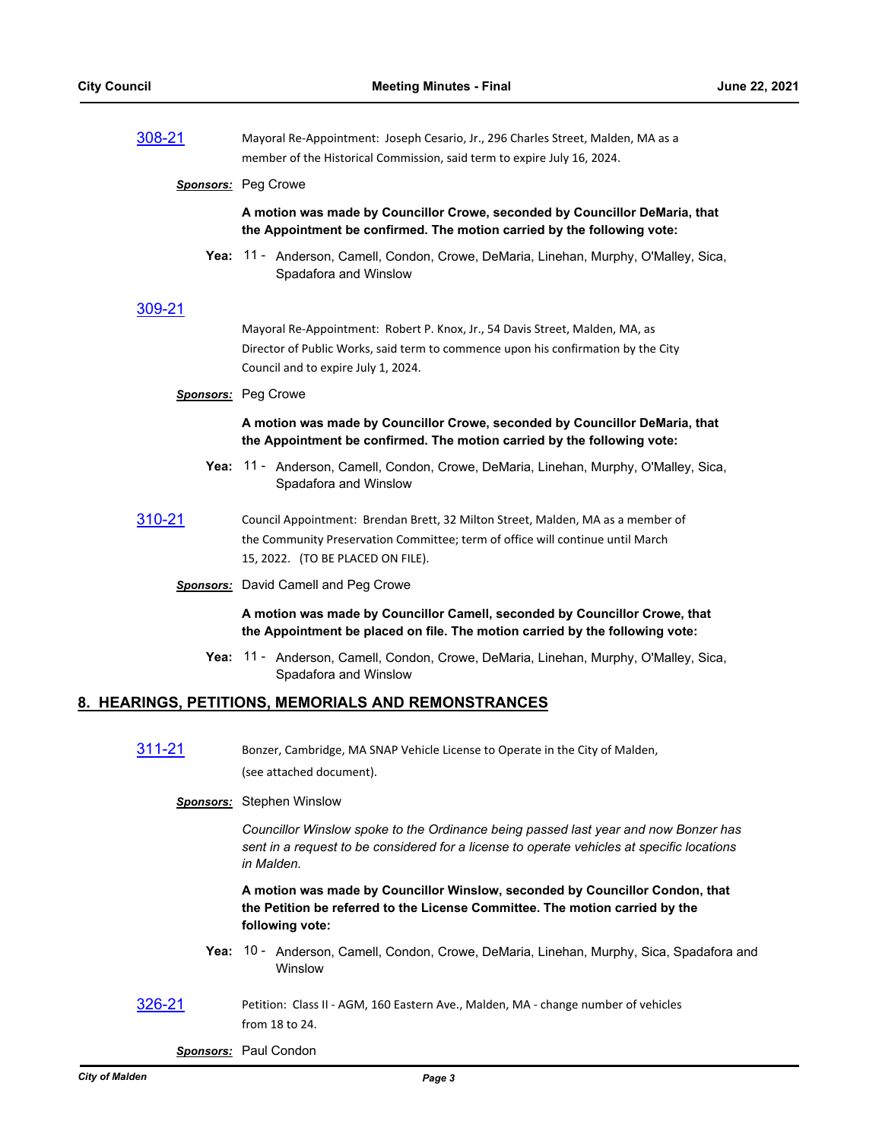| 308-21 | Mayoral Re-Appointment: Joseph Cesario, Jr., 296 Charles Street, Malden, MA as a |
|--------|----------------------------------------------------------------------------------|
|        | member of the Historical Commission, said term to expire July 16, 2024.          |

#### *Sponsors:* Peg Crowe

**A motion was made by Councillor Crowe, seconded by Councillor DeMaria, that the Appointment be confirmed. The motion carried by the following vote:**

Yea: 11 - Anderson, Camell, Condon, Crowe, DeMaria, Linehan, Murphy, O'Malley, Sica, Spadafora and Winslow

#### [309-21](http://cityofmalden.legistar.com/gateway.aspx?m=l&id=/matter.aspx?key=6912)

Mayoral Re-Appointment: Robert P. Knox, Jr., 54 Davis Street, Malden, MA, as Director of Public Works, said term to commence upon his confirmation by the City Council and to expire July 1, 2024.

#### *Sponsors:* Peg Crowe

#### **A motion was made by Councillor Crowe, seconded by Councillor DeMaria, that the Appointment be confirmed. The motion carried by the following vote:**

- Yea: 11 Anderson, Camell, Condon, Crowe, DeMaria, Linehan, Murphy, O'Malley, Sica, Spadafora and Winslow
- [310-21](http://cityofmalden.legistar.com/gateway.aspx?m=l&id=/matter.aspx?key=6929) Council Appointment: Brendan Brett, 32 Milton Street, Malden, MA as a member of the Community Preservation Committee; term of office will continue until March 15, 2022. (TO BE PLACED ON FILE).
	- *Sponsors:* David Camell and Peg Crowe

**A motion was made by Councillor Camell, seconded by Councillor Crowe, that the Appointment be placed on file. The motion carried by the following vote:**

Yea: 11 - Anderson, Camell, Condon, Crowe, DeMaria, Linehan, Murphy, O'Malley, Sica, Spadafora and Winslow

#### **8. HEARINGS, PETITIONS, MEMORIALS AND REMONSTRANCES**

[311-21](http://cityofmalden.legistar.com/gateway.aspx?m=l&id=/matter.aspx?key=6949) Bonzer, Cambridge, MA SNAP Vehicle License to Operate in the City of Malden, (see attached document).

*Sponsors:* Stephen Winslow

*Councillor Winslow spoke to the Ordinance being passed last year and now Bonzer has sent in a request to be considered for a license to operate vehicles at specific locations in Malden.*

**A motion was made by Councillor Winslow, seconded by Councillor Condon, that the Petition be referred to the License Committee. The motion carried by the following vote:**

- Yea: 10 Anderson, Camell, Condon, Crowe, DeMaria, Linehan, Murphy, Sica, Spadafora and Winslow
- [326-21](http://cityofmalden.legistar.com/gateway.aspx?m=l&id=/matter.aspx?key=6952) Petition: Class II AGM, 160 Eastern Ave., Malden, MA change number of vehicles from 18 to 24.

*Sponsors:* Paul Condon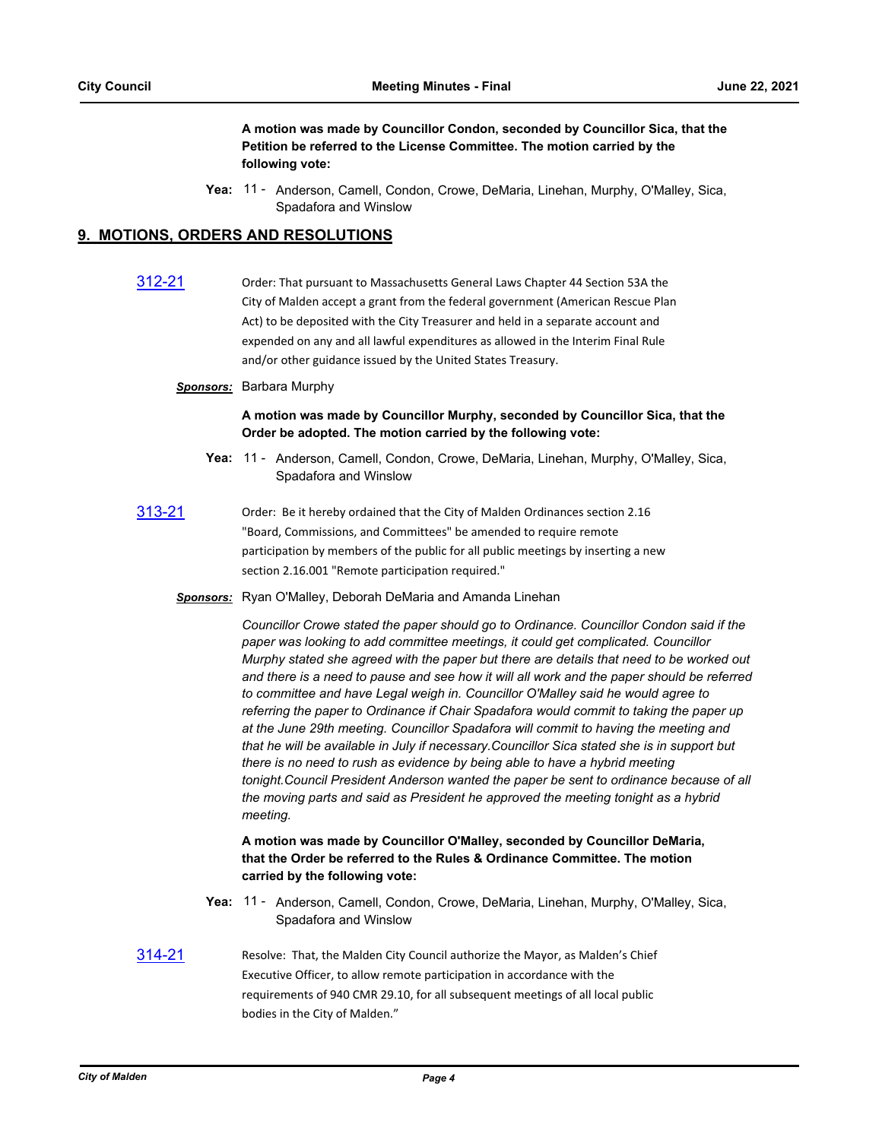**A motion was made by Councillor Condon, seconded by Councillor Sica, that the Petition be referred to the License Committee. The motion carried by the following vote:**

Yea: 11 - Anderson, Camell, Condon, Crowe, DeMaria, Linehan, Murphy, O'Malley, Sica, Spadafora and Winslow

## **9. MOTIONS, ORDERS AND RESOLUTIONS**

| 312-21 | Order: That pursuant to Massachusetts General Laws Chapter 44 Section 53A the    |
|--------|----------------------------------------------------------------------------------|
|        | City of Malden accept a grant from the federal government (American Rescue Plan  |
|        | Act) to be deposited with the City Treasurer and held in a separate account and  |
|        | expended on any and all lawful expenditures as allowed in the Interim Final Rule |
|        | and/or other guidance issued by the United States Treasury.                      |
|        |                                                                                  |

#### *Sponsors:* Barbara Murphy

#### **A motion was made by Councillor Murphy, seconded by Councillor Sica, that the Order be adopted. The motion carried by the following vote:**

- Yea: 11 Anderson, Camell, Condon, Crowe, DeMaria, Linehan, Murphy, O'Malley, Sica, Spadafora and Winslow
- [313-21](http://cityofmalden.legistar.com/gateway.aspx?m=l&id=/matter.aspx?key=6938) Order: Be it hereby ordained that the City of Malden Ordinances section 2.16 "Board, Commissions, and Committees" be amended to require remote participation by members of the public for all public meetings by inserting a new section 2.16.001 "Remote participation required."
	- *Sponsors:* Ryan O'Malley, Deborah DeMaria and Amanda Linehan

*Councillor Crowe stated the paper should go to Ordinance. Councillor Condon said if the paper was looking to add committee meetings, it could get complicated. Councillor Murphy stated she agreed with the paper but there are details that need to be worked out and there is a need to pause and see how it will all work and the paper should be referred to committee and have Legal weigh in. Councillor O'Malley said he would agree to referring the paper to Ordinance if Chair Spadafora would commit to taking the paper up at the June 29th meeting. Councillor Spadafora will commit to having the meeting and that he will be available in July if necessary.Councillor Sica stated she is in support but there is no need to rush as evidence by being able to have a hybrid meeting tonight.Council President Anderson wanted the paper be sent to ordinance because of all the moving parts and said as President he approved the meeting tonight as a hybrid meeting.*

**A motion was made by Councillor O'Malley, seconded by Councillor DeMaria, that the Order be referred to the Rules & Ordinance Committee. The motion carried by the following vote:**

- Yea: 11 Anderson, Camell, Condon, Crowe, DeMaria, Linehan, Murphy, O'Malley, Sica, Spadafora and Winslow
- [314-21](http://cityofmalden.legistar.com/gateway.aspx?m=l&id=/matter.aspx?key=6937) Resolve: That, the Malden City Council authorize the Mayor, as Malden's Chief Executive Officer, to allow remote participation in accordance with the requirements of 940 CMR 29.10, for all subsequent meetings of all local public bodies in the City of Malden."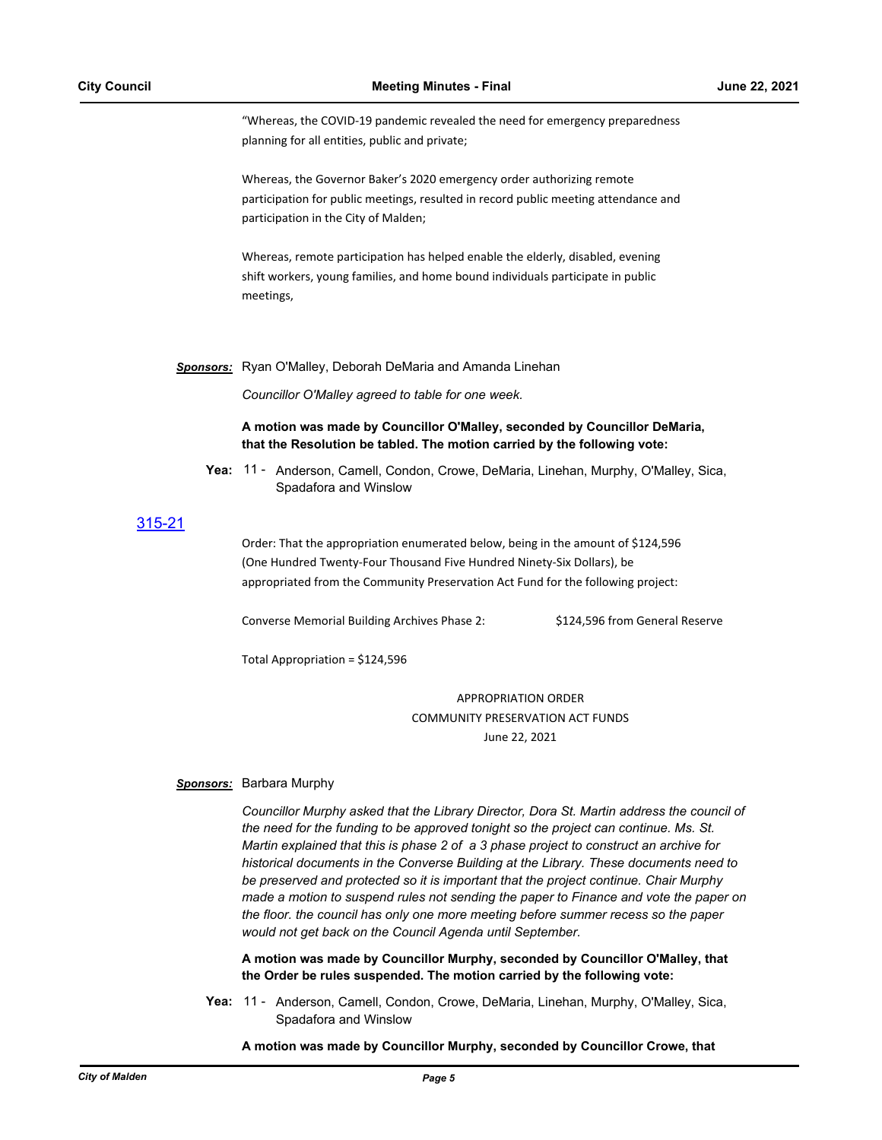"Whereas, the COVID-19 pandemic revealed the need for emergency preparedness planning for all entities, public and private;

Whereas, the Governor Baker's 2020 emergency order authorizing remote participation for public meetings, resulted in record public meeting attendance and participation in the City of Malden;

Whereas, remote participation has helped enable the elderly, disabled, evening shift workers, young families, and home bound individuals participate in public meetings,

*Sponsors:* Ryan O'Malley, Deborah DeMaria and Amanda Linehan

*Councillor O'Malley agreed to table for one week.*

**A motion was made by Councillor O'Malley, seconded by Councillor DeMaria, that the Resolution be tabled. The motion carried by the following vote:**

Yea: 11 - Anderson, Camell, Condon, Crowe, DeMaria, Linehan, Murphy, O'Malley, Sica, Spadafora and Winslow

## [315-21](http://cityofmalden.legistar.com/gateway.aspx?m=l&id=/matter.aspx?key=6950)

Order: That the appropriation enumerated below, being in the amount of \$124,596 (One Hundred Twenty-Four Thousand Five Hundred Ninety-Six Dollars), be appropriated from the Community Preservation Act Fund for the following project:

Converse Memorial Building Archives Phase 2: \$124,596 from General Reserve

Total Appropriation = \$124,596

APPROPRIATION ORDER COMMUNITY PRESERVATION ACT FUNDS June 22, 2021

#### *Sponsors:* Barbara Murphy

*Councillor Murphy asked that the Library Director, Dora St. Martin address the council of the need for the funding to be approved tonight so the project can continue. Ms. St. Martin explained that this is phase 2 of a 3 phase project to construct an archive for historical documents in the Converse Building at the Library. These documents need to be preserved and protected so it is important that the project continue. Chair Murphy made a motion to suspend rules not sending the paper to Finance and vote the paper on the floor. the council has only one more meeting before summer recess so the paper would not get back on the Council Agenda until September.*

**A motion was made by Councillor Murphy, seconded by Councillor O'Malley, that the Order be rules suspended. The motion carried by the following vote:**

Yea: 11 - Anderson, Camell, Condon, Crowe, DeMaria, Linehan, Murphy, O'Malley, Sica, Spadafora and Winslow

**A motion was made by Councillor Murphy, seconded by Councillor Crowe, that**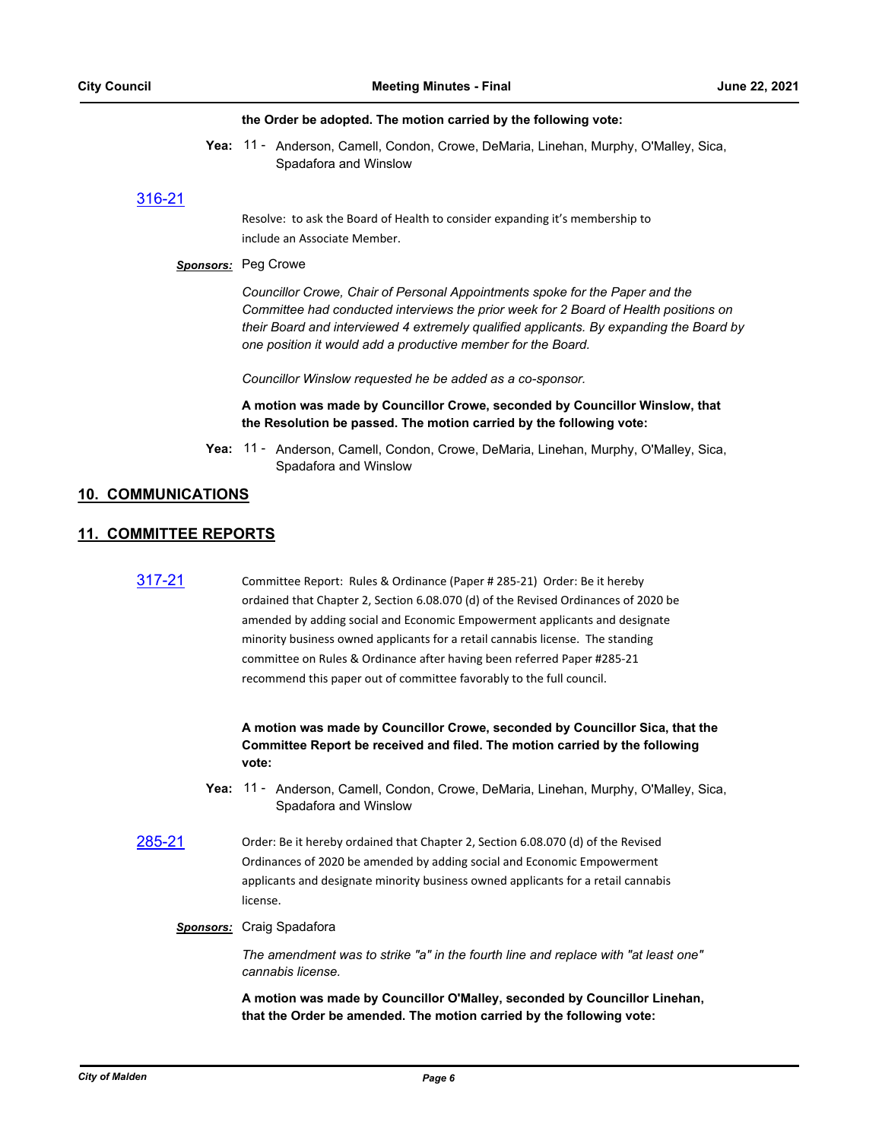#### **the Order be adopted. The motion carried by the following vote:**

Yea: 11 - Anderson, Camell, Condon, Crowe, DeMaria, Linehan, Murphy, O'Malley, Sica, Spadafora and Winslow

## [316-21](http://cityofmalden.legistar.com/gateway.aspx?m=l&id=/matter.aspx?key=6948)

Resolve: to ask the Board of Health to consider expanding it's membership to include an Associate Member.

#### *Sponsors:* Peg Crowe

*Councillor Crowe, Chair of Personal Appointments spoke for the Paper and the Committee had conducted interviews the prior week for 2 Board of Health positions on their Board and interviewed 4 extremely qualified applicants. By expanding the Board by one position it would add a productive member for the Board.* 

*Councillor Winslow requested he be added as a co-sponsor.*

**A motion was made by Councillor Crowe, seconded by Councillor Winslow, that the Resolution be passed. The motion carried by the following vote:**

Yea: 11 - Anderson, Camell, Condon, Crowe, DeMaria, Linehan, Murphy, O'Malley, Sica, Spadafora and Winslow

## **10. COMMUNICATIONS**

## **11. COMMITTEE REPORTS**

| 317-21 | Committee Report: Rules & Ordinance (Paper # 285-21) Order: Be it hereby           |
|--------|------------------------------------------------------------------------------------|
|        | ordained that Chapter 2, Section 6.08.070 (d) of the Revised Ordinances of 2020 be |
|        | amended by adding social and Economic Empowerment applicants and designate         |
|        | minority business owned applicants for a retail cannabis license. The standing     |
|        | committee on Rules & Ordinance after having been referred Paper #285-21            |
|        | recommend this paper out of committee favorably to the full council.               |
|        |                                                                                    |
|        |                                                                                    |

**A motion was made by Councillor Crowe, seconded by Councillor Sica, that the Committee Report be received and filed. The motion carried by the following vote:**

- Yea: 11 Anderson, Camell, Condon, Crowe, DeMaria, Linehan, Murphy, O'Malley, Sica, Spadafora and Winslow
- [285-21](http://cityofmalden.legistar.com/gateway.aspx?m=l&id=/matter.aspx?key=6911) Order: Be it hereby ordained that Chapter 2, Section 6.08.070 (d) of the Revised Ordinances of 2020 be amended by adding social and Economic Empowerment applicants and designate minority business owned applicants for a retail cannabis license.
	- *Sponsors:* Craig Spadafora

*The amendment was to strike "a" in the fourth line and replace with "at least one" cannabis license.*

**A motion was made by Councillor O'Malley, seconded by Councillor Linehan, that the Order be amended. The motion carried by the following vote:**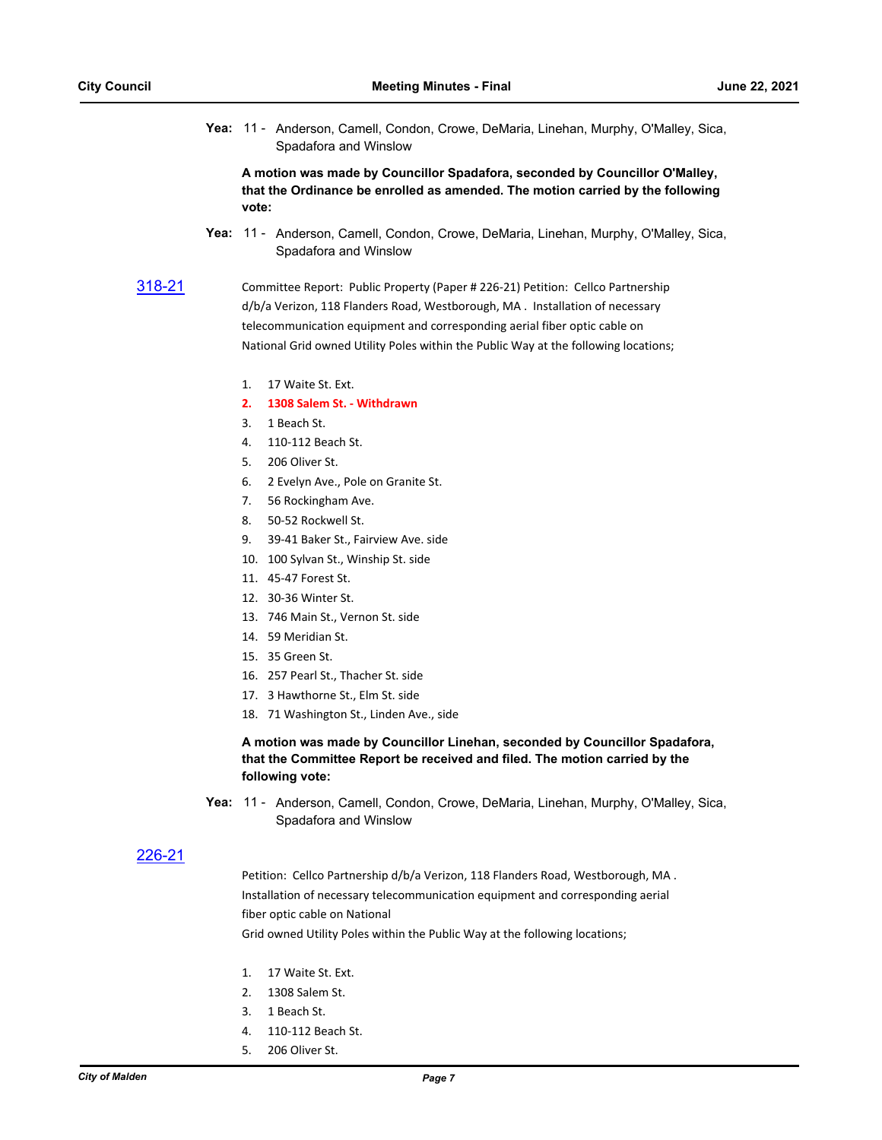Yea: 11 - Anderson, Camell, Condon, Crowe, DeMaria, Linehan, Murphy, O'Malley, Sica, Spadafora and Winslow

**A motion was made by Councillor Spadafora, seconded by Councillor O'Malley, that the Ordinance be enrolled as amended. The motion carried by the following vote:**

- Yea: 11 Anderson, Camell, Condon, Crowe, DeMaria, Linehan, Murphy, O'Malley, Sica, Spadafora and Winslow
- [318-21](http://cityofmalden.legistar.com/gateway.aspx?m=l&id=/matter.aspx?key=6930) Committee Report: Public Property (Paper # 226-21) Petition: Cellco Partnership d/b/a Verizon, 118 Flanders Road, Westborough, MA . Installation of necessary telecommunication equipment and corresponding aerial fiber optic cable on National Grid owned Utility Poles within the Public Way at the following locations;
	- 1. 17 Waite St. Ext.
	- **2. 1308 Salem St. Withdrawn**
	- 3. 1 Beach St.
	- 4. 110-112 Beach St.
	- 5. 206 Oliver St.
	- 6. 2 Evelyn Ave., Pole on Granite St.
	- 7. 56 Rockingham Ave.
	- 8. 50-52 Rockwell St.
	- 9. 39-41 Baker St., Fairview Ave. side
	- 10. 100 Sylvan St., Winship St. side
	- 11. 45-47 Forest St.
	- 12. 30-36 Winter St.
	- 13. 746 Main St., Vernon St. side
	- 14. 59 Meridian St.
	- 15. 35 Green St.
	- 16. 257 Pearl St., Thacher St. side
	- 17. 3 Hawthorne St., Elm St. side
	- 18. 71 Washington St., Linden Ave., side

**A motion was made by Councillor Linehan, seconded by Councillor Spadafora, that the Committee Report be received and filed. The motion carried by the following vote:**

Yea: 11 - Anderson, Camell, Condon, Crowe, DeMaria, Linehan, Murphy, O'Malley, Sica, Spadafora and Winslow

## [226-21](http://cityofmalden.legistar.com/gateway.aspx?m=l&id=/matter.aspx?key=6852)

Petition: Cellco Partnership d/b/a Verizon, 118 Flanders Road, Westborough, MA. Installation of necessary telecommunication equipment and corresponding aerial fiber optic cable on National

Grid owned Utility Poles within the Public Way at the following locations;

- 1. 17 Waite St. Ext.
- 2. 1308 Salem St.
- 3. 1 Beach St.
- 4. 110-112 Beach St.
- 5. 206 Oliver St.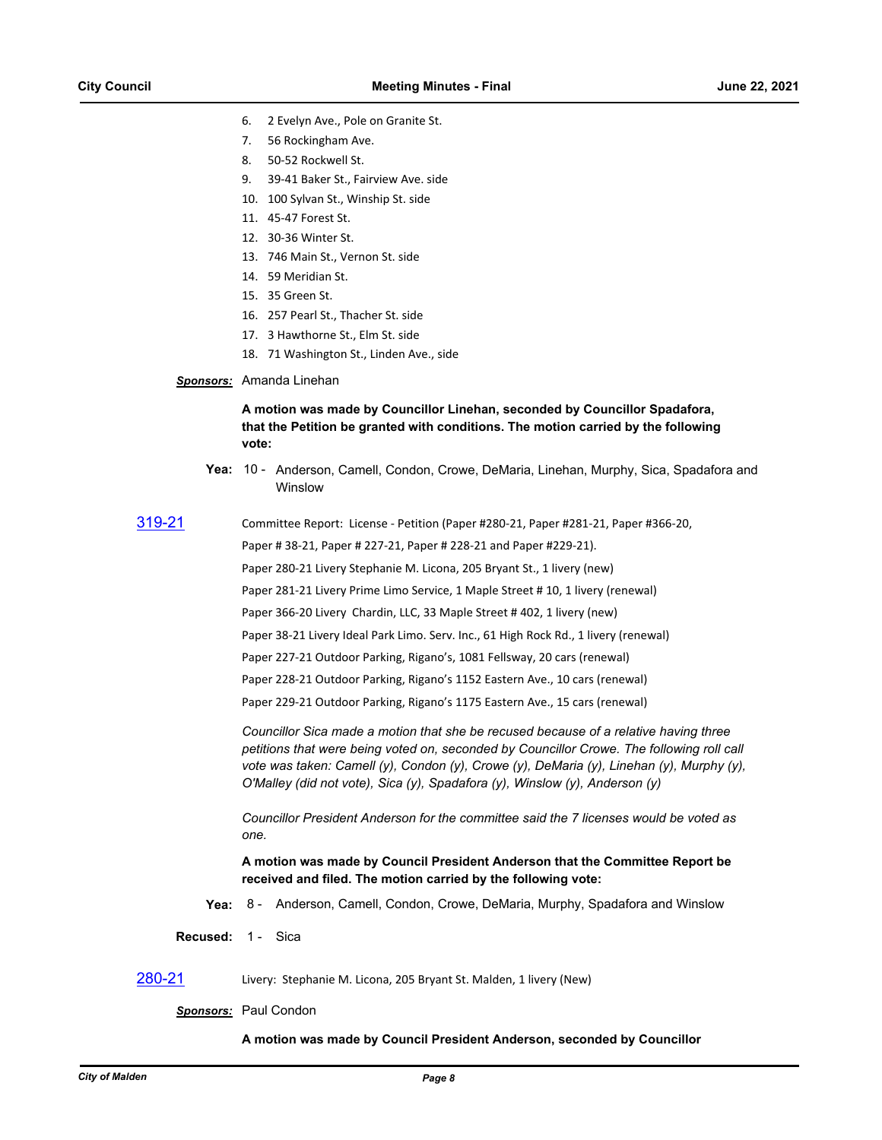- 6. 2 Evelyn Ave., Pole on Granite St.
- 7. 56 Rockingham Ave.
- 8. 50-52 Rockwell St.
- 9. 39-41 Baker St., Fairview Ave. side
- 10. 100 Sylvan St., Winship St. side
- 11. 45-47 Forest St.
- 12. 30-36 Winter St.
- 13. 746 Main St., Vernon St. side
- 14. 59 Meridian St.
- 15. 35 Green St.
- 16. 257 Pearl St., Thacher St. side
- 17. 3 Hawthorne St., Elm St. side
- 18. 71 Washington St., Linden Ave., side

### *Sponsors:* Amanda Linehan

#### **A motion was made by Councillor Linehan, seconded by Councillor Spadafora, that the Petition be granted with conditions. The motion carried by the following vote:**

- Yea: 10 Anderson, Camell, Condon, Crowe, DeMaria, Linehan, Murphy, Sica, Spadafora and Winslow
- 

[319-21](http://cityofmalden.legistar.com/gateway.aspx?m=l&id=/matter.aspx?key=6920) Committee Report: License - Petition (Paper #280-21, Paper #281-21, Paper #366-20, Paper # 38-21, Paper # 227-21, Paper # 228-21 and Paper #229-21). Paper 280-21 Livery Stephanie M. Licona, 205 Bryant St., 1 livery (new) Paper 281-21 Livery Prime Limo Service, 1 Maple Street # 10, 1 livery (renewal) Paper 366-20 Livery Chardin, LLC, 33 Maple Street # 402, 1 livery (new) Paper 38-21 Livery Ideal Park Limo. Serv. Inc., 61 High Rock Rd., 1 livery (renewal) Paper 227-21 Outdoor Parking, Rigano's, 1081 Fellsway, 20 cars (renewal) Paper 228-21 Outdoor Parking, Rigano's 1152 Eastern Ave., 10 cars (renewal) Paper 229-21 Outdoor Parking, Rigano's 1175 Eastern Ave., 15 cars (renewal)

> *Councillor Sica made a motion that she be recused because of a relative having three petitions that were being voted on, seconded by Councillor Crowe. The following roll call vote was taken: Camell (y), Condon (y), Crowe (y), DeMaria (y), Linehan (y), Murphy (y), O'Malley (did not vote), Sica (y), Spadafora (y), Winslow (y), Anderson (y)*

*Councillor President Anderson for the committee said the 7 licenses would be voted as one.*

**A motion was made by Council President Anderson that the Committee Report be received and filed. The motion carried by the following vote:**

- **Yea:** 8 Anderson, Camell, Condon, Crowe, DeMaria, Murphy, Spadafora and Winslow
- **Recused:** 1 Sica
- [280-21](http://cityofmalden.legistar.com/gateway.aspx?m=l&id=/matter.aspx?key=6907) Livery: Stephanie M. Licona, 205 Bryant St. Malden, 1 livery (New)

#### *Sponsors:* Paul Condon

#### **A motion was made by Council President Anderson, seconded by Councillor**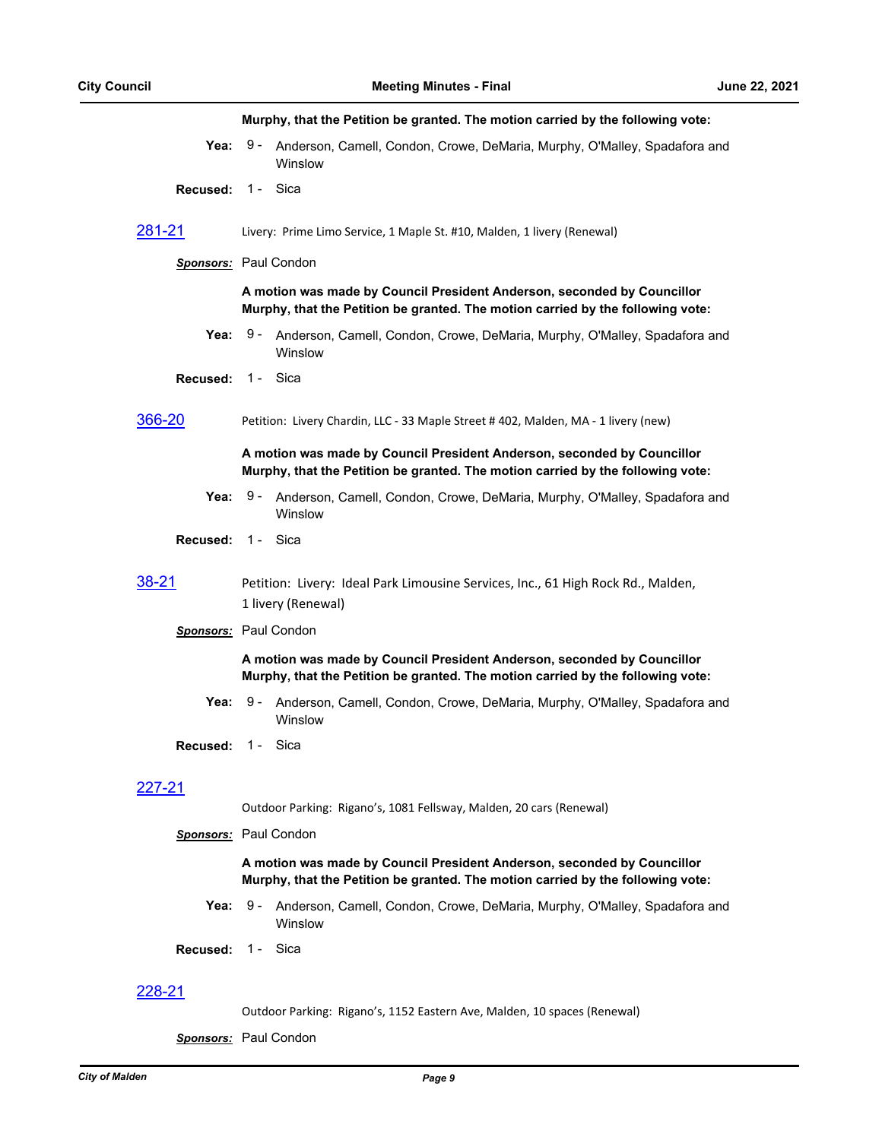#### **Murphy, that the Petition be granted. The motion carried by the following vote:**

- **Yea:** Anderson, Camell, Condon, Crowe, DeMaria, Murphy, O'Malley, Spadafora and **Winslow** Yea:  $9 -$
- **Recused:** 1 Sica
- [281-21](http://cityofmalden.legistar.com/gateway.aspx?m=l&id=/matter.aspx?key=6909) Livery: Prime Limo Service, 1 Maple St. #10, Malden, 1 livery (Renewal)

#### *Sponsors:* Paul Condon

#### **A motion was made by Council President Anderson, seconded by Councillor Murphy, that the Petition be granted. The motion carried by the following vote:**

Yea: 9 - Anderson, Camell, Condon, Crowe, DeMaria, Murphy, O'Malley, Spadafora and **Winslow**  $9 -$ 

**Recused:** 1 - Sica

[366-20](http://cityofmalden.legistar.com/gateway.aspx?m=l&id=/matter.aspx?key=6478) Petition: Livery Chardin, LLC - 33 Maple Street # 402, Malden, MA - 1 livery (new)

#### **A motion was made by Council President Anderson, seconded by Councillor Murphy, that the Petition be granted. The motion carried by the following vote:**

- Yea: 9 Anderson, Camell, Condon, Crowe, DeMaria, Murphy, O'Malley, Spadafora and **Winslow**
- **Recused:** 1 Sica

## [38-21](http://cityofmalden.legistar.com/gateway.aspx?m=l&id=/matter.aspx?key=6645) Petition: Livery: Ideal Park Limousine Services, Inc., 61 High Rock Rd., Malden, 1 livery (Renewal)

*Sponsors:* Paul Condon

#### **A motion was made by Council President Anderson, seconded by Councillor Murphy, that the Petition be granted. The motion carried by the following vote:**

- Yea: 9 Anderson, Camell, Condon, Crowe, DeMaria, Murphy, O'Malley, Spadafora and **Winslow**  $9 -$
- **Recused:** 1 Sica

## [227-21](http://cityofmalden.legistar.com/gateway.aspx?m=l&id=/matter.aspx?key=6833)

Outdoor Parking: Rigano's, 1081 Fellsway, Malden, 20 cars (Renewal)

#### *Sponsors:* Paul Condon

#### **A motion was made by Council President Anderson, seconded by Councillor Murphy, that the Petition be granted. The motion carried by the following vote:**

- **Yea:** Anderson, Camell, Condon, Crowe, DeMaria, Murphy, O'Malley, Spadafora and Winslow Yea:  $9 -$
- **Recused:** 1 Sica

#### [228-21](http://cityofmalden.legistar.com/gateway.aspx?m=l&id=/matter.aspx?key=6834)

Outdoor Parking: Rigano's, 1152 Eastern Ave, Malden, 10 spaces (Renewal)

*Sponsors:* Paul Condon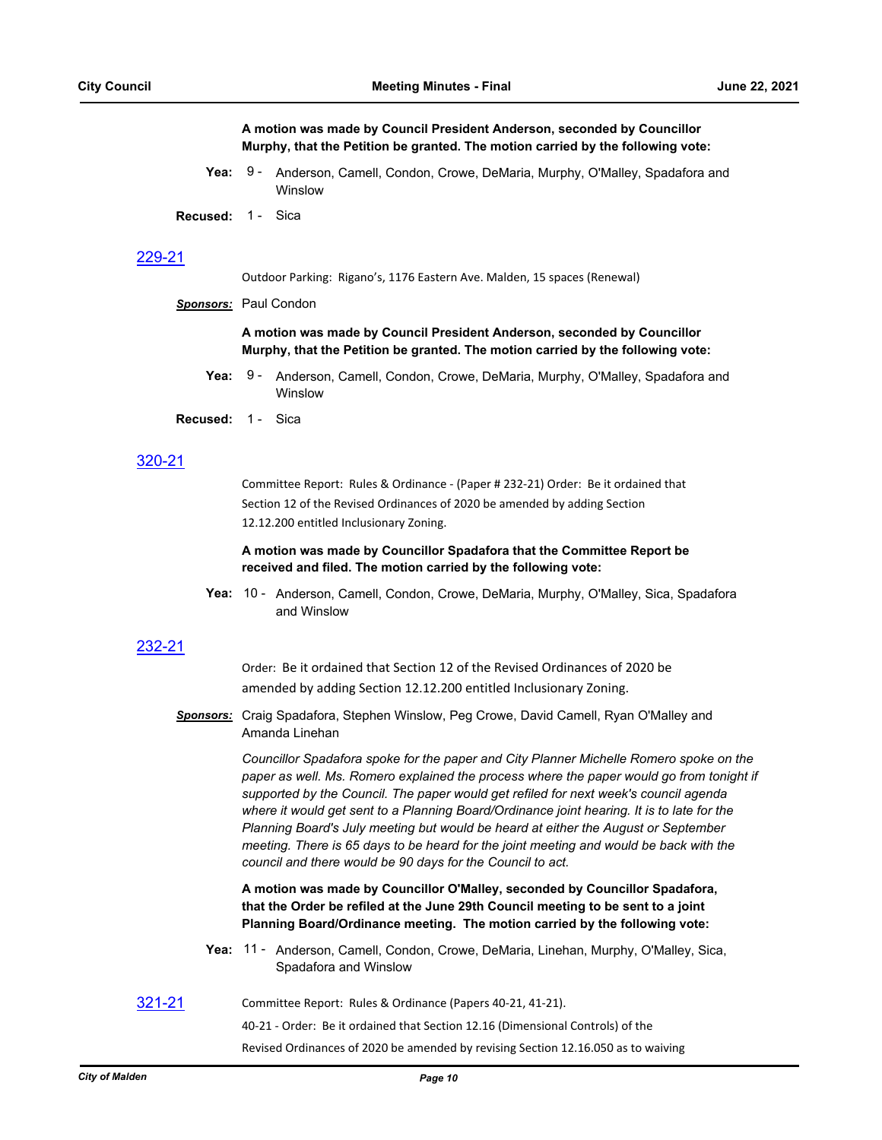**A motion was made by Council President Anderson, seconded by Councillor Murphy, that the Petition be granted. The motion carried by the following vote:**

- **Yea:** Anderson, Camell, Condon, Crowe, DeMaria, Murphy, O'Malley, Spadafora and **Winslow** Yea:  $9 -$
- **Recused:** 1 Sica

## [229-21](http://cityofmalden.legistar.com/gateway.aspx?m=l&id=/matter.aspx?key=6835)

Outdoor Parking: Rigano's, 1176 Eastern Ave. Malden, 15 spaces (Renewal)

*Sponsors:* Paul Condon

**A motion was made by Council President Anderson, seconded by Councillor Murphy, that the Petition be granted. The motion carried by the following vote:**

- **Yea:** Anderson, Camell, Condon, Crowe, DeMaria, Murphy, O'Malley, Spadafora and Winslow **Yea: 9 -**
- **Recused:** 1 Sica

### [320-21](http://cityofmalden.legistar.com/gateway.aspx?m=l&id=/matter.aspx?key=6934)

Committee Report: Rules & Ordinance - (Paper # 232-21) Order: Be it ordained that Section 12 of the Revised Ordinances of 2020 be amended by adding Section 12.12.200 entitled Inclusionary Zoning.

#### **A motion was made by Councillor Spadafora that the Committee Report be received and filed. The motion carried by the following vote:**

Yea: 10 - Anderson, Camell, Condon, Crowe, DeMaria, Murphy, O'Malley, Sica, Spadafora and Winslow

#### [232-21](http://cityofmalden.legistar.com/gateway.aspx?m=l&id=/matter.aspx?key=6846)

Order: Be it ordained that Section 12 of the Revised Ordinances of 2020 be amended by adding Section 12.12.200 entitled Inclusionary Zoning.

*Sponsors:* Craig Spadafora, Stephen Winslow, Peg Crowe, David Camell, Ryan O'Malley and Amanda Linehan

> *Councillor Spadafora spoke for the paper and City Planner Michelle Romero spoke on the*  paper as well. Ms. Romero explained the process where the paper would go from tonight if *supported by the Council. The paper would get refiled for next week's council agenda where it would get sent to a Planning Board/Ordinance joint hearing. It is to late for the Planning Board's July meeting but would be heard at either the August or September meeting. There is 65 days to be heard for the joint meeting and would be back with the council and there would be 90 days for the Council to act.*

**A motion was made by Councillor O'Malley, seconded by Councillor Spadafora, that the Order be refiled at the June 29th Council meeting to be sent to a joint Planning Board/Ordinance meeting. The motion carried by the following vote:**

- Yea: 11 Anderson, Camell, Condon, Crowe, DeMaria, Linehan, Murphy, O'Malley, Sica, Spadafora and Winslow
- [321-21](http://cityofmalden.legistar.com/gateway.aspx?m=l&id=/matter.aspx?key=6935) Committee Report: Rules & Ordinance (Papers 40-21, 41-21).

40-21 - Order: Be it ordained that Section 12.16 (Dimensional Controls) of the

Revised Ordinances of 2020 be amended by revising Section 12.16.050 as to waiving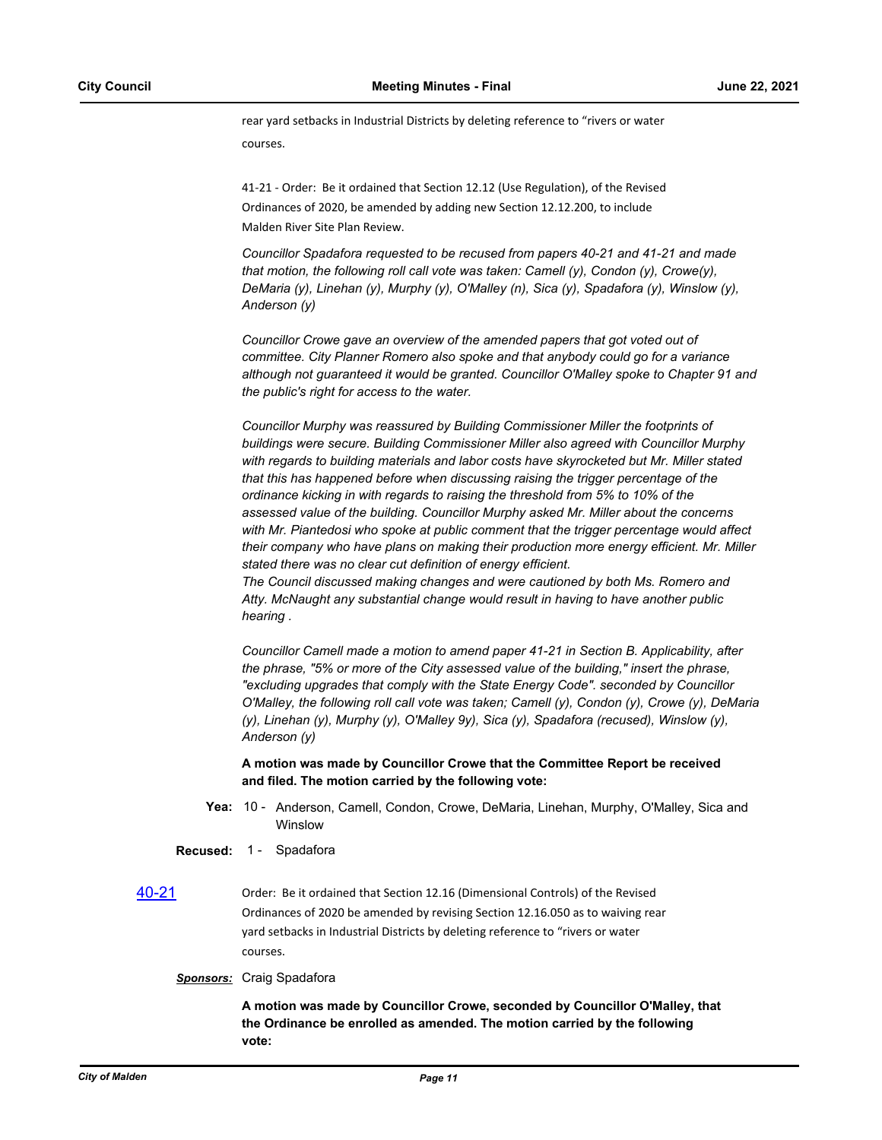rear yard setbacks in Industrial Districts by deleting reference to "rivers or water courses.

41-21 - Order: Be it ordained that Section 12.12 (Use Regulation), of the Revised Ordinances of 2020, be amended by adding new Section 12.12.200, to include Malden River Site Plan Review.

*Councillor Spadafora requested to be recused from papers 40-21 and 41-21 and made that motion, the following roll call vote was taken: Camell (y), Condon (y), Crowe(y), DeMaria (y), Linehan (y), Murphy (y), O'Malley (n), Sica (y), Spadafora (y), Winslow (y), Anderson (y)* 

*Councillor Crowe gave an overview of the amended papers that got voted out of committee. City Planner Romero also spoke and that anybody could go for a variance although not guaranteed it would be granted. Councillor O'Malley spoke to Chapter 91 and the public's right for access to the water.*

*Councillor Murphy was reassured by Building Commissioner Miller the footprints of buildings were secure. Building Commissioner Miller also agreed with Councillor Murphy with regards to building materials and labor costs have skyrocketed but Mr. Miller stated that this has happened before when discussing raising the trigger percentage of the ordinance kicking in with regards to raising the threshold from 5% to 10% of the assessed value of the building. Councillor Murphy asked Mr. Miller about the concerns with Mr. Piantedosi who spoke at public comment that the trigger percentage would affect their company who have plans on making their production more energy efficient. Mr. Miller stated there was no clear cut definition of energy efficient. The Council discussed making changes and were cautioned by both Ms. Romero and* 

*Atty. McNaught any substantial change would result in having to have another public hearing .*

*Councillor Camell made a motion to amend paper 41-21 in Section B. Applicability, after the phrase, "5% or more of the City assessed value of the building," insert the phrase, "excluding upgrades that comply with the State Energy Code". seconded by Councillor O'Malley, the following roll call vote was taken; Camell (y), Condon (y), Crowe (y), DeMaria (y), Linehan (y), Murphy (y), O'Malley 9y), Sica (y), Spadafora (recused), Winslow (y), Anderson (y)*

**A motion was made by Councillor Crowe that the Committee Report be received and filed. The motion carried by the following vote:**

- Yea: 10 Anderson, Camell, Condon, Crowe, DeMaria, Linehan, Murphy, O'Malley, Sica and **Winslow**
- **Recused:** 1 Spadafora
- [40-21](http://cityofmalden.legistar.com/gateway.aspx?m=l&id=/matter.aspx?key=6653) Order: Be it ordained that Section 12.16 (Dimensional Controls) of the Revised Ordinances of 2020 be amended by revising Section 12.16.050 as to waiving rear yard setbacks in Industrial Districts by deleting reference to "rivers or water courses.
	- *Sponsors:* Craig Spadafora

**A motion was made by Councillor Crowe, seconded by Councillor O'Malley, that the Ordinance be enrolled as amended. The motion carried by the following vote:**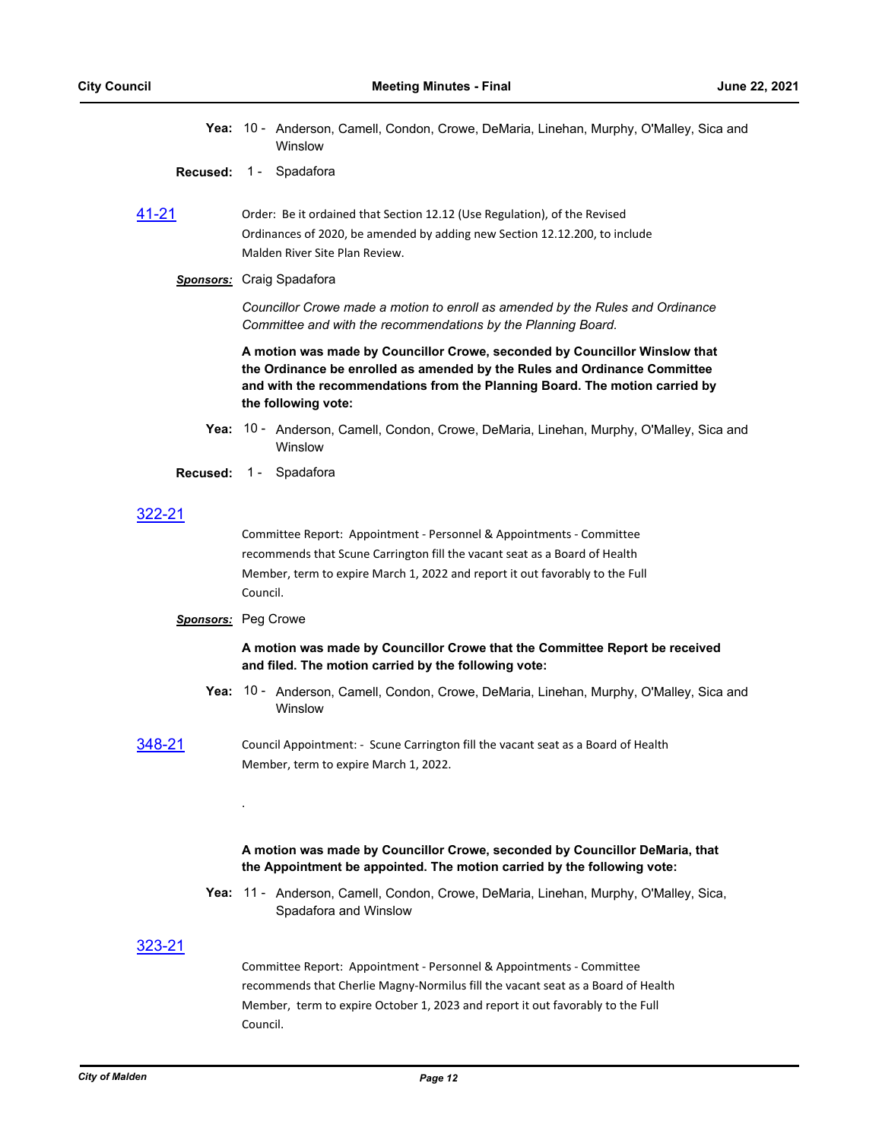Yea: 10 - Anderson, Camell, Condon, Crowe, DeMaria, Linehan, Murphy, O'Malley, Sica and Winslow

#### **Recused: 1 - Spadafora**

[41-21](http://cityofmalden.legistar.com/gateway.aspx?m=l&id=/matter.aspx?key=6652) Order: Be it ordained that Section 12.12 (Use Regulation), of the Revised Ordinances of 2020, be amended by adding new Section 12.12.200, to include Malden River Site Plan Review.

#### *Sponsors:* Craig Spadafora

*Councillor Crowe made a motion to enroll as amended by the Rules and Ordinance Committee and with the recommendations by the Planning Board.*

**A motion was made by Councillor Crowe, seconded by Councillor Winslow that the Ordinance be enrolled as amended by the Rules and Ordinance Committee and with the recommendations from the Planning Board. The motion carried by the following vote:**

- Yea: 10 Anderson, Camell, Condon, Crowe, DeMaria, Linehan, Murphy, O'Malley, Sica and **Winslow**
- **Recused:** 1 Spadafora

## [322-21](http://cityofmalden.legistar.com/gateway.aspx?m=l&id=/matter.aspx?key=6946)

Committee Report: Appointment - Personnel & Appointments - Committee recommends that Scune Carrington fill the vacant seat as a Board of Health Member, term to expire March 1, 2022 and report it out favorably to the Full Council.

#### *Sponsors:* Peg Crowe

.

#### **A motion was made by Councillor Crowe that the Committee Report be received and filed. The motion carried by the following vote:**

- Yea: 10 Anderson, Camell, Condon, Crowe, DeMaria, Linehan, Murphy, O'Malley, Sica and Winslow
- [348-21](http://cityofmalden.legistar.com/gateway.aspx?m=l&id=/matter.aspx?key=6977) Council Appointment: Scune Carrington fill the vacant seat as a Board of Health Member, term to expire March 1, 2022.

#### **A motion was made by Councillor Crowe, seconded by Councillor DeMaria, that the Appointment be appointed. The motion carried by the following vote:**

Yea: 11 - Anderson, Camell, Condon, Crowe, DeMaria, Linehan, Murphy, O'Malley, Sica, Spadafora and Winslow

#### [323-21](http://cityofmalden.legistar.com/gateway.aspx?m=l&id=/matter.aspx?key=6945)

Committee Report: Appointment - Personnel & Appointments - Committee recommends that Cherlie Magny-Normilus fill the vacant seat as a Board of Health Member, term to expire October 1, 2023 and report it out favorably to the Full Council.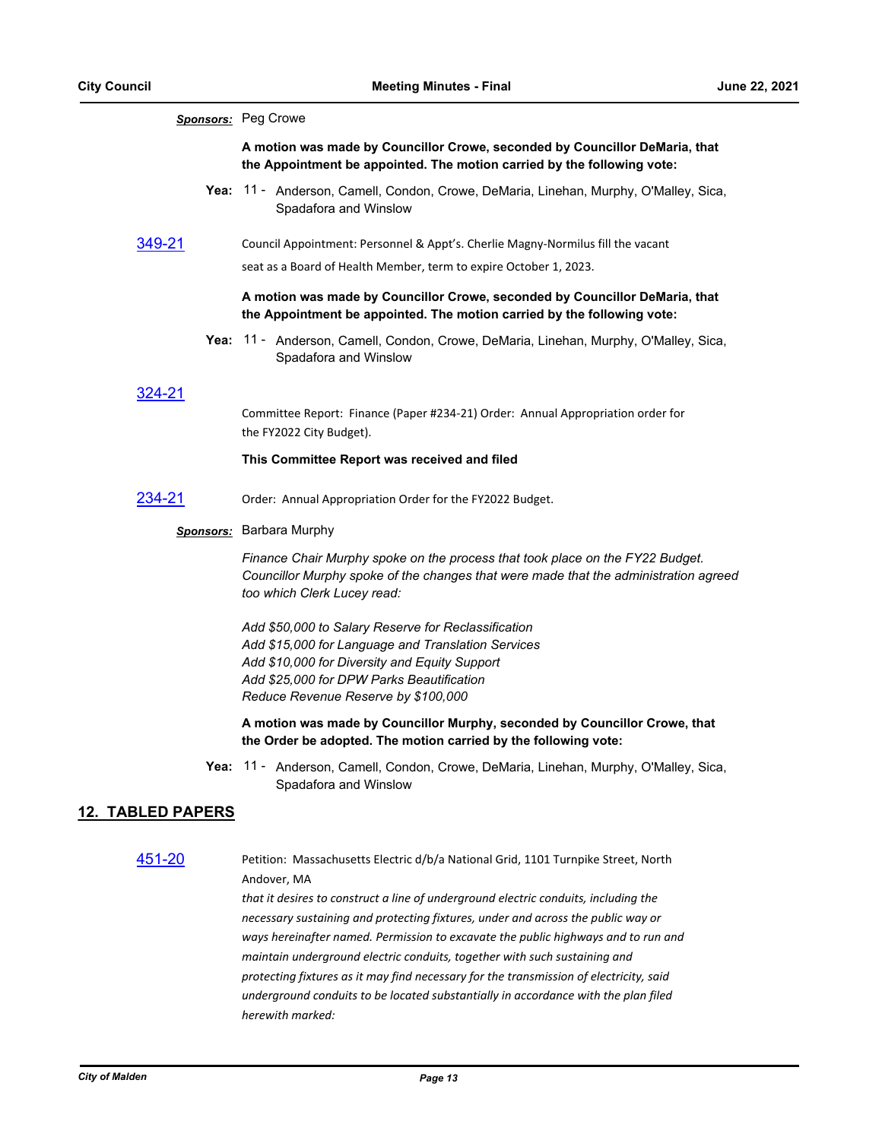|                          | Sponsors: Peg Crowe                                                                                                                                                                                                                            |
|--------------------------|------------------------------------------------------------------------------------------------------------------------------------------------------------------------------------------------------------------------------------------------|
|                          | A motion was made by Councillor Crowe, seconded by Councillor DeMaria, that<br>the Appointment be appointed. The motion carried by the following vote:                                                                                         |
|                          | Yea: 11 - Anderson, Camell, Condon, Crowe, DeMaria, Linehan, Murphy, O'Malley, Sica,<br>Spadafora and Winslow                                                                                                                                  |
| 349-21                   | Council Appointment: Personnel & Appt's. Cherlie Magny-Normilus fill the vacant                                                                                                                                                                |
|                          | seat as a Board of Health Member, term to expire October 1, 2023.                                                                                                                                                                              |
|                          | A motion was made by Councillor Crowe, seconded by Councillor DeMaria, that<br>the Appointment be appointed. The motion carried by the following vote:                                                                                         |
|                          | Yea: 11 - Anderson, Camell, Condon, Crowe, DeMaria, Linehan, Murphy, O'Malley, Sica,<br>Spadafora and Winslow                                                                                                                                  |
| 324-21                   |                                                                                                                                                                                                                                                |
|                          | Committee Report: Finance (Paper #234-21) Order: Annual Appropriation order for<br>the FY2022 City Budget).                                                                                                                                    |
|                          | This Committee Report was received and filed                                                                                                                                                                                                   |
| 234-21                   | Order: Annual Appropriation Order for the FY2022 Budget.                                                                                                                                                                                       |
|                          | <b>Sponsors:</b> Barbara Murphy                                                                                                                                                                                                                |
|                          | Finance Chair Murphy spoke on the process that took place on the FY22 Budget.<br>Councillor Murphy spoke of the changes that were made that the administration agreed<br>too which Clerk Lucey read:                                           |
|                          | Add \$50,000 to Salary Reserve for Reclassification<br>Add \$15,000 for Language and Translation Services<br>Add \$10,000 for Diversity and Equity Support<br>Add \$25,000 for DPW Parks Beautification<br>Reduce Revenue Reserve by \$100,000 |
|                          | A motion was made by Councillor Murphy, seconded by Councillor Crowe, that<br>the Order be adopted. The motion carried by the following vote:                                                                                                  |
|                          | Yea: 11 - Anderson, Camell, Condon, Crowe, DeMaria, Linehan, Murphy, O'Malley, Sica,<br>Spadafora and Winslow                                                                                                                                  |
| <b>12. TABLED PAPERS</b> |                                                                                                                                                                                                                                                |

[451-20](http://cityofmalden.legistar.com/gateway.aspx?m=l&id=/matter.aspx?key=6581) Petition: Massachusetts Electric d/b/a National Grid, 1101 Turnpike Street, North Andover, MA

> *that it desires to construct a line of underground electric conduits, including the necessary sustaining and protecting fixtures, under and across the public way or ways hereinafter named. Permission to excavate the public highways and to run and maintain underground electric conduits, together with such sustaining and protecting fixtures as it may find necessary for the transmission of electricity, said underground conduits to be located substantially in accordance with the plan filed herewith marked:*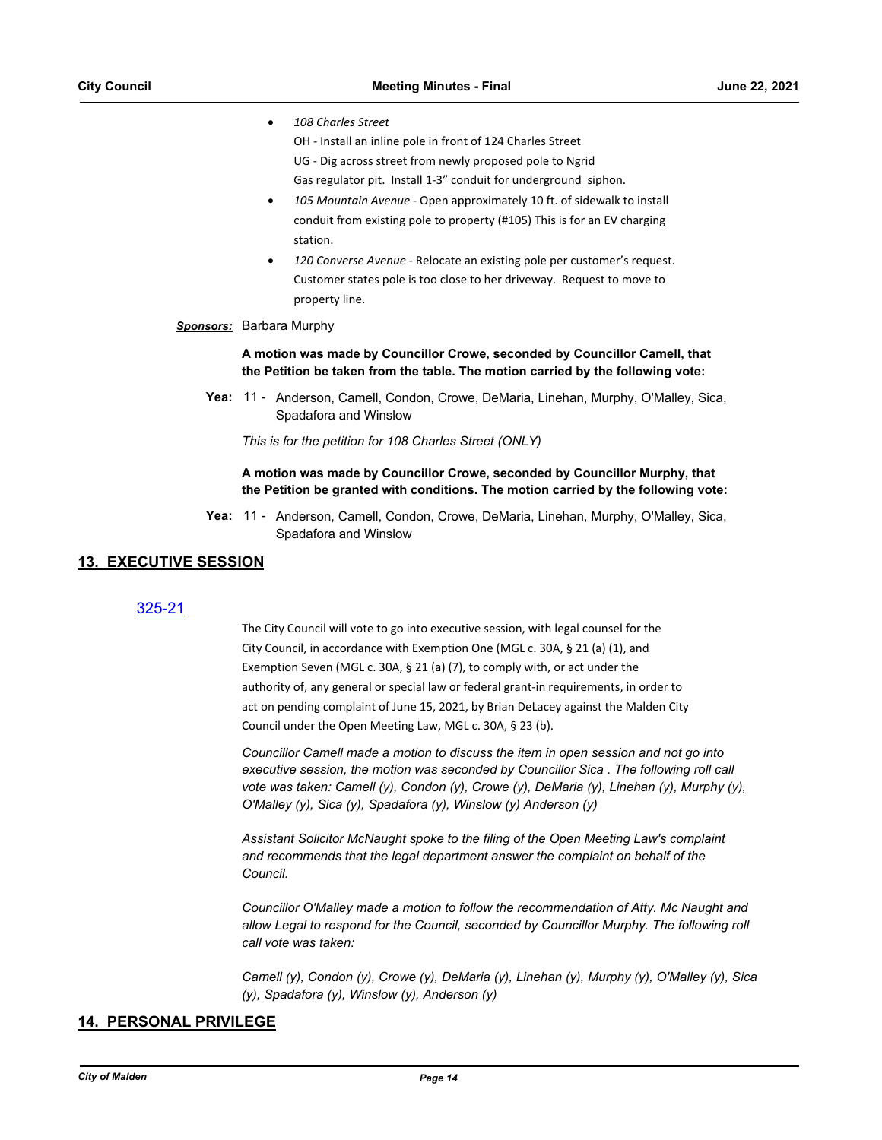- · *108 Charles Street* 
	- OH Install an inline pole in front of 124 Charles Street
	- UG Dig across street from newly proposed pole to Ngrid
	- Gas regulator pit. Install 1-3" conduit for underground siphon.
- · *105 Mountain Avenue* Open approximately 10 ft. of sidewalk to install conduit from existing pole to property (#105) This is for an EV charging station.
- · *120 Converse Avenue* Relocate an existing pole per customer's request. Customer states pole is too close to her driveway. Request to move to property line.

#### *Sponsors:* Barbara Murphy

**A motion was made by Councillor Crowe, seconded by Councillor Camell, that the Petition be taken from the table. The motion carried by the following vote:**

Yea: 11 - Anderson, Camell, Condon, Crowe, DeMaria, Linehan, Murphy, O'Malley, Sica, Spadafora and Winslow

*This is for the petition for 108 Charles Street (ONLY)*

**A motion was made by Councillor Crowe, seconded by Councillor Murphy, that the Petition be granted with conditions. The motion carried by the following vote:**

Yea: 11 - Anderson, Camell, Condon, Crowe, DeMaria, Linehan, Murphy, O'Malley, Sica, Spadafora and Winslow

## **13. EXECUTIVE SESSION**

## [325-21](http://cityofmalden.legistar.com/gateway.aspx?m=l&id=/matter.aspx?key=6951)

The City Council will vote to go into executive session, with legal counsel for the City Council, in accordance with Exemption One (MGL c. 30A, § 21 (a) (1), and Exemption Seven (MGL c. 30A, § 21 (a) (7), to comply with, or act under the authority of, any general or special law or federal grant-in requirements, in order to act on pending complaint of June 15, 2021, by Brian DeLacey against the Malden City Council under the Open Meeting Law, MGL c. 30A, § 23 (b).

*Councillor Camell made a motion to discuss the item in open session and not go into executive session, the motion was seconded by Councillor Sica . The following roll call vote was taken: Camell (y), Condon (y), Crowe (y), DeMaria (y), Linehan (y), Murphy (y), O'Malley (y), Sica (y), Spadafora (y), Winslow (y) Anderson (y)*

*Assistant Solicitor McNaught spoke to the filing of the Open Meeting Law's complaint and recommends that the legal department answer the complaint on behalf of the Council.*

*Councillor O'Malley made a motion to follow the recommendation of Atty. Mc Naught and allow Legal to respond for the Council, seconded by Councillor Murphy. The following roll call vote was taken:*

*Camell (y), Condon (y), Crowe (y), DeMaria (y), Linehan (y), Murphy (y), O'Malley (y), Sica (y), Spadafora (y), Winslow (y), Anderson (y)*

## **14. PERSONAL PRIVILEGE**